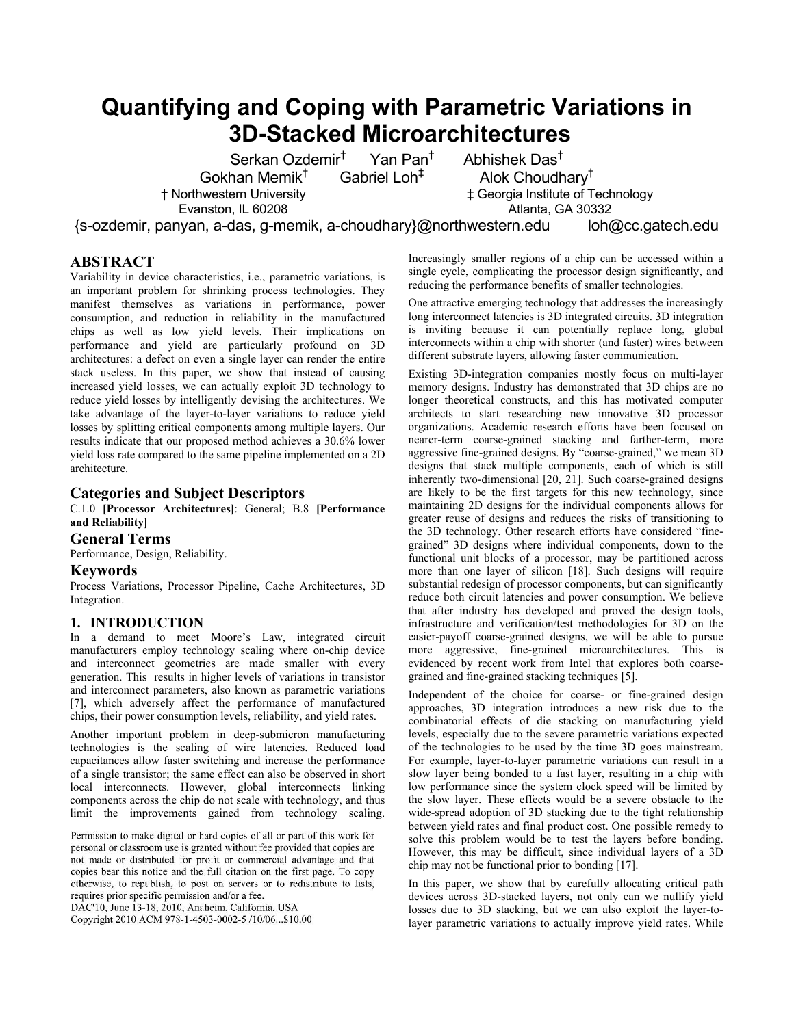# **Quantifying and Coping with Parametric Variations in 3D-Stacked Microarchitectures**

Serkan Ozdemir† Yan Pan† Gokhan Memik†

† Northwestern University Evanston, IL 60208

Gabriel Loh‡

 Abhishek Das† Alok Choudhary† ‡ Georgia Institute of Technology Atlanta, GA 30332

{s-ozdemir, panyan, a-das, g-memik, a-choudhary}@northwestern.edu loh@cc.gatech.edu

# **ABSTRACT**

Variability in device characteristics, i.e., parametric variations, is an important problem for shrinking process technologies. They manifest themselves as variations in performance, power consumption, and reduction in reliability in the manufactured chips as well as low yield levels. Their implications on performance and yield are particularly profound on 3D architectures: a defect on even a single layer can render the entire stack useless. In this paper, we show that instead of causing increased yield losses, we can actually exploit 3D technology to reduce yield losses by intelligently devising the architectures. We take advantage of the layer-to-layer variations to reduce yield losses by splitting critical components among multiple layers. Our results indicate that our proposed method achieves a 30.6% lower yield loss rate compared to the same pipeline implemented on a 2D architecture.

# **Categories and Subject Descriptors**

C.1.0 **[Processor Architectures]**: General; B.8 **[Performance and Reliability]**

# **General Terms**

Performance, Design, Reliability.

# **Keywords**

Process Variations, Processor Pipeline, Cache Architectures, 3D Integration.

# **1. INTRODUCTION**

In a demand to meet Moore's Law, integrated circuit manufacturers employ technology scaling where on-chip device and interconnect geometries are made smaller with every generation. This results in higher levels of variations in transistor and interconnect parameters, also known as parametric variations [7], which adversely affect the performance of manufactured chips, their power consumption levels, reliability, and yield rates.

Another important problem in deep-submicron manufacturing technologies is the scaling of wire latencies. Reduced load capacitances allow faster switching and increase the performance of a single transistor; the same effect can also be observed in short local interconnects. However, global interconnects linking components across the chip do not scale with technology, and thus limit the improvements gained from technology scaling.

Permission to make digital or hard copies of all or part of this work for personal or classroom use is granted without fee provided that copies are not made or distributed for profit or commercial advantage and that copies bear this notice and the full citation on the first page. To copy otherwise, to republish, to post on servers or to redistribute to lists, requires prior specific permission and/or a fee.

DAC'10, June 13-18, 2010, Anaheim, California, USA

Copyright 2010 ACM 978-1-4503-0002-5 /10/06...\$10.00

Increasingly smaller regions of a chip can be accessed within a single cycle, complicating the processor design significantly, and reducing the performance benefits of smaller technologies.

One attractive emerging technology that addresses the increasingly long interconnect latencies is 3D integrated circuits. 3D integration is inviting because it can potentially replace long, global interconnects within a chip with shorter (and faster) wires between different substrate layers, allowing faster communication.

Existing 3D-integration companies mostly focus on multi-layer memory designs. Industry has demonstrated that 3D chips are no longer theoretical constructs, and this has motivated computer architects to start researching new innovative 3D processor organizations. Academic research efforts have been focused on nearer-term coarse-grained stacking and farther-term, more aggressive fine-grained designs. By "coarse-grained," we mean 3D designs that stack multiple components, each of which is still inherently two-dimensional [20, 21]. Such coarse-grained designs are likely to be the first targets for this new technology, since maintaining 2D designs for the individual components allows for greater reuse of designs and reduces the risks of transitioning to the 3D technology. Other research efforts have considered "finegrained" 3D designs where individual components, down to the functional unit blocks of a processor, may be partitioned across more than one layer of silicon [18]. Such designs will require substantial redesign of processor components, but can significantly reduce both circuit latencies and power consumption. We believe that after industry has developed and proved the design tools, infrastructure and verification/test methodologies for 3D on the easier-payoff coarse-grained designs, we will be able to pursue more aggressive, fine-grained microarchitectures. This is evidenced by recent work from Intel that explores both coarsegrained and fine-grained stacking techniques [5].

Independent of the choice for coarse- or fine-grained design approaches, 3D integration introduces a new risk due to the combinatorial effects of die stacking on manufacturing yield levels, especially due to the severe parametric variations expected of the technologies to be used by the time 3D goes mainstream. For example, layer-to-layer parametric variations can result in a slow layer being bonded to a fast layer, resulting in a chip with low performance since the system clock speed will be limited by the slow layer. These effects would be a severe obstacle to the wide-spread adoption of 3D stacking due to the tight relationship between yield rates and final product cost. One possible remedy to solve this problem would be to test the layers before bonding. However, this may be difficult, since individual layers of a 3D chip may not be functional prior to bonding [17].

In this paper, we show that by carefully allocating critical path devices across 3D-stacked layers, not only can we nullify yield losses due to 3D stacking, but we can also exploit the layer-tolayer parametric variations to actually improve yield rates. While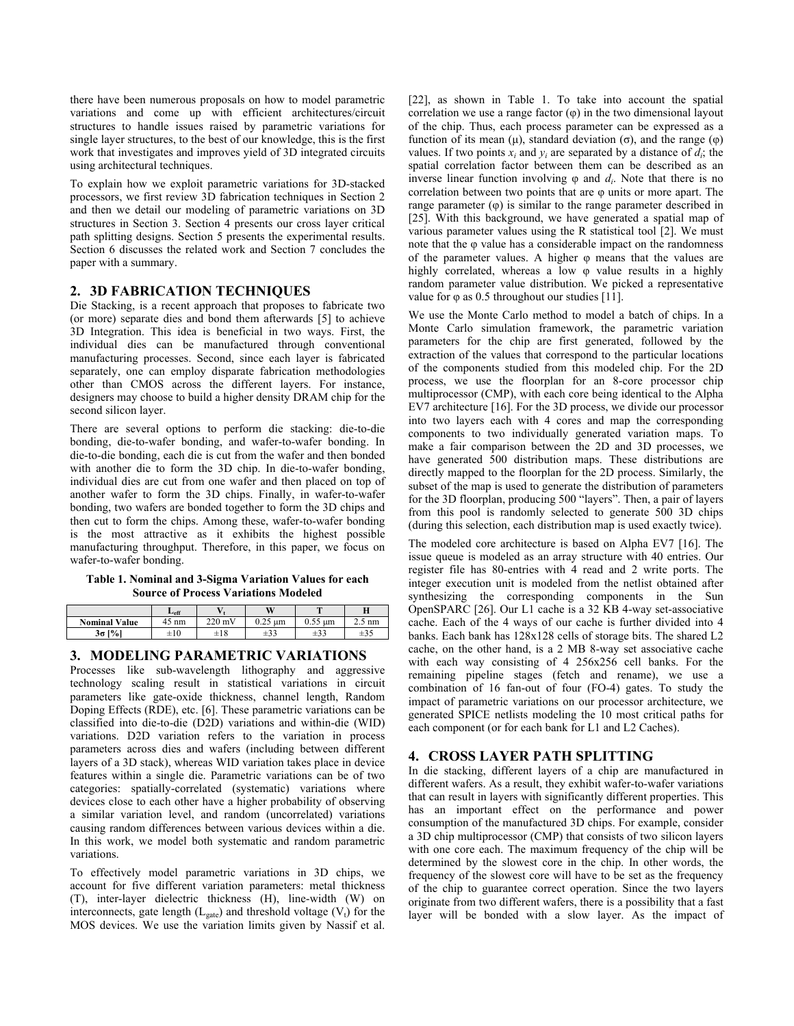there have been numerous proposals on how to model parametric variations and come up with efficient architectures/circuit structures to handle issues raised by parametric variations for single layer structures, to the best of our knowledge, this is the first work that investigates and improves yield of 3D integrated circuits using architectural techniques.

To explain how we exploit parametric variations for 3D-stacked processors, we first review 3D fabrication techniques in Section 2 and then we detail our modeling of parametric variations on 3D structures in Section 3. Section 4 presents our cross layer critical path splitting designs. Section 5 presents the experimental results. Section 6 discusses the related work and Section 7 concludes the paper with a summary.

# **2. 3D FABRICATION TECHNIQUES**

Die Stacking, is a recent approach that proposes to fabricate two (or more) separate dies and bond them afterwards [5] to achieve 3D Integration. This idea is beneficial in two ways. First, the individual dies can be manufactured through conventional manufacturing processes. Second, since each layer is fabricated separately, one can employ disparate fabrication methodologies other than CMOS across the different layers. For instance, designers may choose to build a higher density DRAM chip for the second silicon layer.

There are several options to perform die stacking: die-to-die bonding, die-to-wafer bonding, and wafer-to-wafer bonding. In die-to-die bonding, each die is cut from the wafer and then bonded with another die to form the 3D chip. In die-to-wafer bonding, individual dies are cut from one wafer and then placed on top of another wafer to form the 3D chips. Finally, in wafer-to-wafer bonding, two wafers are bonded together to form the 3D chips and then cut to form the chips. Among these, wafer-to-wafer bonding is the most attractive as it exhibits the highest possible manufacturing throughput. Therefore, in this paper, we focus on wafer-to-wafer bonding.

#### **Table 1. Nominal and 3-Sigma Variation Values for each Source of Process Variations Modeled**

|                      | $L_{\rm eff}$ |                  | W                  | m                  | Н           |
|----------------------|---------------|------------------|--------------------|--------------------|-------------|
| <b>Nominal Value</b> | nm            | $220 \text{ mV}$ | 0.25<br>um<br>U.ZJ | n ee<br>um<br>U.JJ | nm<br>ر . ب |
| $3\sigma$ [%]        | $\pm 10$      | $\pm 18$         | $\pm 33$           | $\pm 33$           | $\pm 35$    |

# **3. MODELING PARAMETRIC VARIATIONS**

Processes like sub-wavelength lithography and aggressive technology scaling result in statistical variations in circuit parameters like gate-oxide thickness, channel length, Random Doping Effects (RDE), etc. [6]. These parametric variations can be classified into die-to-die (D2D) variations and within-die (WID) variations. D2D variation refers to the variation in process parameters across dies and wafers (including between different layers of a 3D stack), whereas WID variation takes place in device features within a single die. Parametric variations can be of two categories: spatially-correlated (systematic) variations where devices close to each other have a higher probability of observing a similar variation level, and random (uncorrelated) variations causing random differences between various devices within a die. In this work, we model both systematic and random parametric variations.

To effectively model parametric variations in 3D chips, we account for five different variation parameters: metal thickness (T), inter-layer dielectric thickness (H), line-width (W) on interconnects, gate length ( $L_{\text{gate}}$ ) and threshold voltage ( $V_t$ ) for the MOS devices. We use the variation limits given by Nassif et al.

[22], as shown in Table 1. To take into account the spatial correlation we use a range factor  $(\varphi)$  in the two dimensional layout of the chip. Thus, each process parameter can be expressed as a function of its mean (μ), standard deviation (σ), and the range (φ) values. If two points  $x_i$  and  $y_i$  are separated by a distance of  $d_i$ ; the spatial correlation factor between them can be described as an inverse linear function involving  $\varphi$  and  $d_i$ . Note that there is no correlation between two points that are φ units or more apart. The range parameter  $(\varphi)$  is similar to the range parameter described in [25]. With this background, we have generated a spatial map of various parameter values using the R statistical tool [2]. We must note that the φ value has a considerable impact on the randomness of the parameter values. A higher φ means that the values are highly correlated, whereas a low φ value results in a highly random parameter value distribution. We picked a representative value for  $\varphi$  as 0.5 throughout our studies [11].

We use the Monte Carlo method to model a batch of chips. In a Monte Carlo simulation framework, the parametric variation parameters for the chip are first generated, followed by the extraction of the values that correspond to the particular locations of the components studied from this modeled chip. For the 2D process, we use the floorplan for an 8-core processor chip multiprocessor (CMP), with each core being identical to the Alpha EV7 architecture [16]. For the 3D process, we divide our processor into two layers each with 4 cores and map the corresponding components to two individually generated variation maps. To make a fair comparison between the 2D and 3D processes, we have generated 500 distribution maps. These distributions are directly mapped to the floorplan for the 2D process. Similarly, the subset of the map is used to generate the distribution of parameters for the 3D floorplan, producing 500 "layers". Then, a pair of layers from this pool is randomly selected to generate 500 3D chips (during this selection, each distribution map is used exactly twice).

The modeled core architecture is based on Alpha EV7 [16]. The issue queue is modeled as an array structure with 40 entries. Our register file has 80-entries with 4 read and 2 write ports. The integer execution unit is modeled from the netlist obtained after synthesizing the corresponding components in the Sun OpenSPARC [26]. Our L1 cache is a 32 KB 4-way set-associative cache. Each of the 4 ways of our cache is further divided into 4 banks. Each bank has 128x128 cells of storage bits. The shared L2 cache, on the other hand, is a 2 MB 8-way set associative cache with each way consisting of 4 256x256 cell banks. For the remaining pipeline stages (fetch and rename), we use a combination of 16 fan-out of four (FO-4) gates. To study the impact of parametric variations on our processor architecture, we generated SPICE netlists modeling the 10 most critical paths for each component (or for each bank for L1 and L2 Caches).

# **4. CROSS LAYER PATH SPLITTING**

In die stacking, different layers of a chip are manufactured in different wafers. As a result, they exhibit wafer-to-wafer variations that can result in layers with significantly different properties. This has an important effect on the performance and power consumption of the manufactured 3D chips. For example, consider a 3D chip multiprocessor (CMP) that consists of two silicon layers with one core each. The maximum frequency of the chip will be determined by the slowest core in the chip. In other words, the frequency of the slowest core will have to be set as the frequency of the chip to guarantee correct operation. Since the two layers originate from two different wafers, there is a possibility that a fast layer will be bonded with a slow layer. As the impact of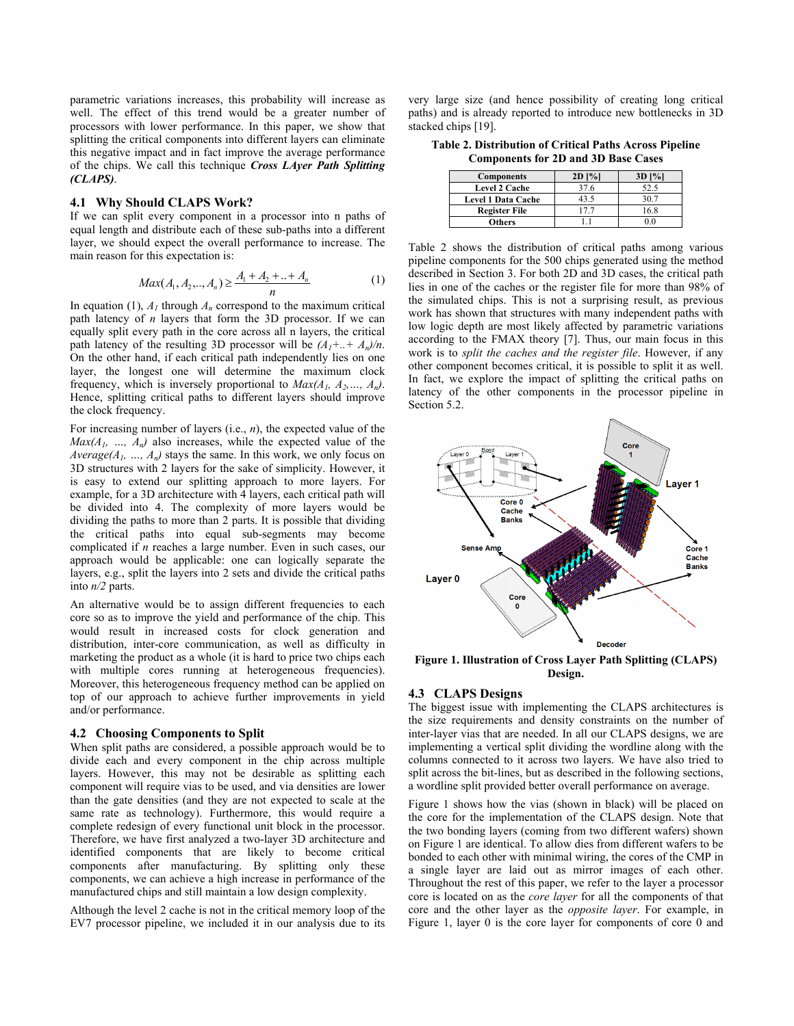parametric variations increases, this probability will increase as well. The effect of this trend would be a greater number of processors with lower performance. In this paper, we show that splitting the critical components into different layers can eliminate this negative impact and in fact improve the average performance of the chips. We call this technique *Cross LAyer Path Splitting (CLAPS)*.

#### **4.1 Why Should CLAPS Work?**

If we can split every component in a processor into n paths of equal length and distribute each of these sub-paths into a different layer, we should expect the overall performance to increase. The main reason for this expectation is:

$$
Max(A_1, A_2, ..., A_n) \ge \frac{A_1 + A_2 + ... + A_n}{n}
$$
 (1)

In equation (1),  $A<sub>l</sub>$  through  $A<sub>n</sub>$  correspond to the maximum critical path latency of *n* layers that form the 3D processor. If we can equally split every path in the core across all n layers, the critical path latency of the resulting 3D processor will be  $(A_1 + ... + A_n)/n$ . On the other hand, if each critical path independently lies on one layer, the longest one will determine the maximum clock frequency, which is inversely proportional to  $Max(A_1, A_2, ..., A_n)$ . Hence, splitting critical paths to different layers should improve the clock frequency.

For increasing number of layers (i.e., *n*), the expected value of the  $Max(A_1, ..., A_n)$  also increases, while the expected value of the *Average(A<sub>1</sub>, ..., A<sub>n</sub>)* stays the same. In this work, we only focus on 3D structures with 2 layers for the sake of simplicity. However, it is easy to extend our splitting approach to more layers. For example, for a 3D architecture with 4 layers, each critical path will be divided into 4. The complexity of more layers would be dividing the paths to more than 2 parts. It is possible that dividing the critical paths into equal sub-segments may become complicated if *n* reaches a large number. Even in such cases, our approach would be applicable: one can logically separate the layers, e.g., split the layers into 2 sets and divide the critical paths into *n/2* parts.

An alternative would be to assign different frequencies to each core so as to improve the yield and performance of the chip. This would result in increased costs for clock generation and distribution, inter-core communication, as well as difficulty in marketing the product as a whole (it is hard to price two chips each with multiple cores running at heterogeneous frequencies). Moreover, this heterogeneous frequency method can be applied on top of our approach to achieve further improvements in yield and/or performance.

#### **4.2 Choosing Components to Split**

When split paths are considered, a possible approach would be to divide each and every component in the chip across multiple layers. However, this may not be desirable as splitting each component will require vias to be used, and via densities are lower than the gate densities (and they are not expected to scale at the same rate as technology). Furthermore, this would require a complete redesign of every functional unit block in the processor. Therefore, we have first analyzed a two-layer 3D architecture and identified components that are likely to become critical components after manufacturing. By splitting only these components, we can achieve a high increase in performance of the manufactured chips and still maintain a low design complexity.

Although the level 2 cache is not in the critical memory loop of the EV7 processor pipeline, we included it in our analysis due to its very large size (and hence possibility of creating long critical paths) and is already reported to introduce new bottlenecks in 3D stacked chips [19].

**Table 2. Distribution of Critical Paths Across Pipeline Components for 2D and 3D Base Cases** 

| <b>Components</b>         | $2D$ [%] | $3D$ $\left[\frac{9}{6}\right]$ |
|---------------------------|----------|---------------------------------|
| <b>Level 2 Cache</b>      | 37.6     | 52.5                            |
| <b>Level 1 Data Cache</b> | 43.5     | 30.7                            |
| <b>Register File</b>      |          | 16.8                            |
| <b>Others</b>             |          |                                 |

Table 2 shows the distribution of critical paths among various pipeline components for the 500 chips generated using the method described in Section 3. For both 2D and 3D cases, the critical path lies in one of the caches or the register file for more than 98% of the simulated chips. This is not a surprising result, as previous work has shown that structures with many independent paths with low logic depth are most likely affected by parametric variations according to the FMAX theory [7]. Thus, our main focus in this work is to *split the caches and the register file*. However, if any other component becomes critical, it is possible to split it as well. In fact, we explore the impact of splitting the critical paths on latency of the other components in the processor pipeline in Section 5.2.



**Figure 1. Illustration of Cross Layer Path Splitting (CLAPS) Design.** 

## **4.3 CLAPS Designs**

The biggest issue with implementing the CLAPS architectures is the size requirements and density constraints on the number of inter-layer vias that are needed. In all our CLAPS designs, we are implementing a vertical split dividing the wordline along with the columns connected to it across two layers. We have also tried to split across the bit-lines, but as described in the following sections, a wordline split provided better overall performance on average.

Figure 1 shows how the vias (shown in black) will be placed on the core for the implementation of the CLAPS design. Note that the two bonding layers (coming from two different wafers) shown on Figure 1 are identical. To allow dies from different wafers to be bonded to each other with minimal wiring, the cores of the CMP in a single layer are laid out as mirror images of each other. Throughout the rest of this paper, we refer to the layer a processor core is located on as the *core layer* for all the components of that core and the other layer as the *opposite layer*. For example, in Figure 1, layer 0 is the core layer for components of core 0 and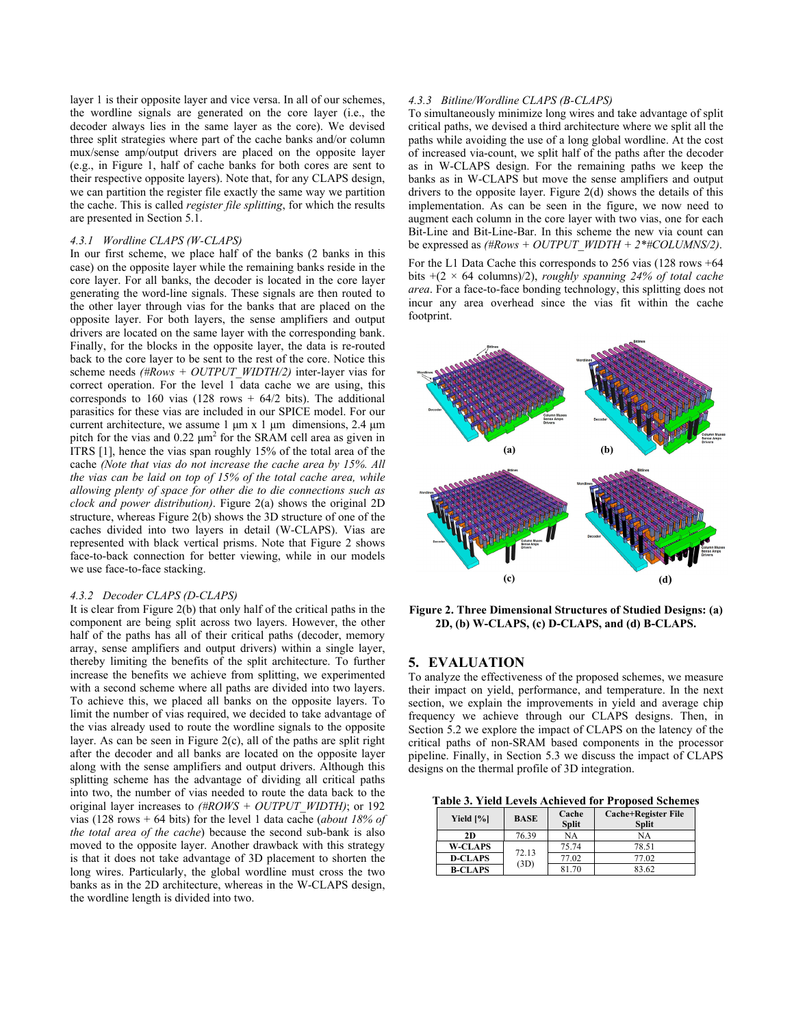layer 1 is their opposite layer and vice versa. In all of our schemes, the wordline signals are generated on the core layer (i.e., the decoder always lies in the same layer as the core). We devised three split strategies where part of the cache banks and/or column mux/sense amp/output drivers are placed on the opposite layer (e.g., in Figure 1, half of cache banks for both cores are sent to their respective opposite layers). Note that, for any CLAPS design, we can partition the register file exactly the same way we partition the cache. This is called *register file splitting*, for which the results are presented in Section 5.1.

#### *4.3.1 Wordline CLAPS (W-CLAPS)*

In our first scheme, we place half of the banks (2 banks in this case) on the opposite layer while the remaining banks reside in the core layer. For all banks, the decoder is located in the core layer generating the word-line signals. These signals are then routed to the other layer through vias for the banks that are placed on the opposite layer. For both layers, the sense amplifiers and output drivers are located on the same layer with the corresponding bank. Finally, for the blocks in the opposite layer, the data is re-routed back to the core layer to be sent to the rest of the core. Notice this scheme needs *(#Rows + OUTPUT\_WIDTH/2)* inter-layer vias for correct operation. For the level 1 data cache we are using, this corresponds to 160 vias (128 rows  $+$  64/2 bits). The additional parasitics for these vias are included in our SPICE model. For our current architecture, we assume  $1 \mu m \times 1 \mu m$  dimensions,  $2.4 \mu m$ pitch for the vias and  $0.22 \mu m^2$  for the SRAM cell area as given in ITRS [1], hence the vias span roughly 15% of the total area of the cache *(Note that vias do not increase the cache area by 15%. All the vias can be laid on top of 15% of the total cache area, while allowing plenty of space for other die to die connections such as clock and power distribution)*. Figure 2(a) shows the original 2D structure, whereas Figure 2(b) shows the 3D structure of one of the caches divided into two layers in detail (W-CLAPS). Vias are represented with black vertical prisms. Note that Figure 2 shows face-to-back connection for better viewing, while in our models we use face-to-face stacking.

#### *4.3.2 Decoder CLAPS (D-CLAPS)*

It is clear from Figure 2(b) that only half of the critical paths in the component are being split across two layers. However, the other half of the paths has all of their critical paths (decoder, memory array, sense amplifiers and output drivers) within a single layer, thereby limiting the benefits of the split architecture. To further increase the benefits we achieve from splitting, we experimented with a second scheme where all paths are divided into two layers. To achieve this, we placed all banks on the opposite layers. To limit the number of vias required, we decided to take advantage of the vias already used to route the wordline signals to the opposite layer. As can be seen in Figure 2(c), all of the paths are split right after the decoder and all banks are located on the opposite layer along with the sense amplifiers and output drivers. Although this splitting scheme has the advantage of dividing all critical paths into two, the number of vias needed to route the data back to the original layer increases to *(#ROWS + OUTPUT\_WIDTH)*; or 192 vias (128 rows + 64 bits) for the level 1 data cache (*about 18% of the total area of the cache*) because the second sub-bank is also moved to the opposite layer. Another drawback with this strategy is that it does not take advantage of 3D placement to shorten the long wires. Particularly, the global wordline must cross the two banks as in the 2D architecture, whereas in the W-CLAPS design, the wordline length is divided into two.

## *4.3.3 Bitline/Wordline CLAPS (B-CLAPS)*

To simultaneously minimize long wires and take advantage of split critical paths, we devised a third architecture where we split all the paths while avoiding the use of a long global wordline. At the cost of increased via-count, we split half of the paths after the decoder as in W-CLAPS design. For the remaining paths we keep the banks as in W-CLAPS but move the sense amplifiers and output drivers to the opposite layer. Figure 2(d) shows the details of this implementation. As can be seen in the figure, we now need to augment each column in the core layer with two vias, one for each Bit-Line and Bit-Line-Bar. In this scheme the new via count can be expressed as  $(HRows + OUTPUT\ WIDTH + 2*#COLUMNS/2)$ .

For the L1 Data Cache this corresponds to 256 vias (128 rows +64 bits +(2 × 64 columns)/2), *roughly spanning 24% of total cache area*. For a face-to-face bonding technology, this splitting does not incur any area overhead since the vias fit within the cache footprint.



**Figure 2. Three Dimensional Structures of Studied Designs: (a) 2D, (b) W-CLAPS, (c) D-CLAPS, and (d) B-CLAPS.** 

## **5. EVALUATION**

To analyze the effectiveness of the proposed schemes, we measure their impact on yield, performance, and temperature. In the next section, we explain the improvements in yield and average chip frequency we achieve through our CLAPS designs. Then, in Section 5.2 we explore the impact of CLAPS on the latency of the critical paths of non-SRAM based components in the processor pipeline. Finally, in Section 5.3 we discuss the impact of CLAPS designs on the thermal profile of 3D integration.

**Table 3. Yield Levels Achieved for Proposed Schemes** 

| Yield [%]      | <b>BASE</b>   | Cache<br><b>Split</b> | <b>Cache+Register File</b><br><b>Split</b> |
|----------------|---------------|-----------------------|--------------------------------------------|
| 2D             | 76.39         | NА                    | NA                                         |
| <b>W-CLAPS</b> | 72.13<br>(3D) | 75.74                 | 78.51                                      |
| <b>D-CLAPS</b> |               | 77.02                 | 77.02                                      |
| <b>B-CLAPS</b> |               | 81.70                 | 83.62                                      |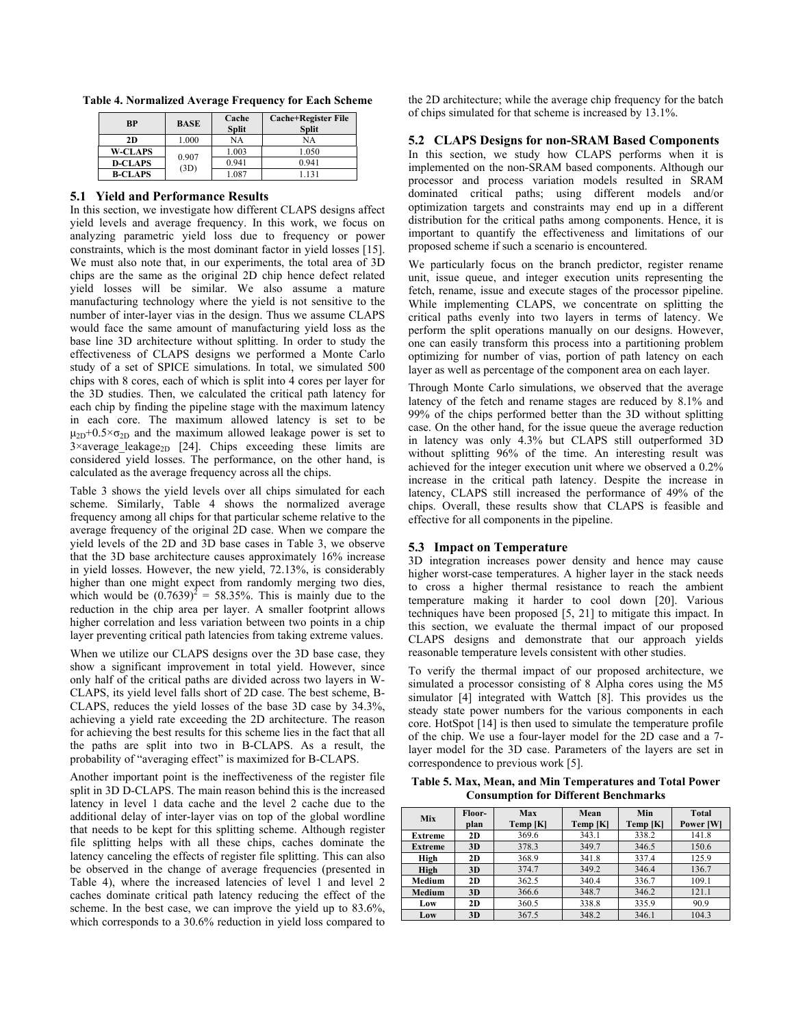**Table 4. Normalized Average Frequency for Each Scheme** 

| <b>BP</b>      | <b>BASE</b>   | Cache<br><b>Split</b> | <b>Cache+Register File</b><br><b>Split</b> |
|----------------|---------------|-----------------------|--------------------------------------------|
| 2D             | 1.000         | NA                    | NA                                         |
| <b>W-CLAPS</b> | 0.907<br>(3D) | 1.003                 | 1.050                                      |
| <b>D-CLAPS</b> |               | 0.941                 | 0.941                                      |
| <b>B-CLAPS</b> |               | 1.087                 |                                            |

## **5.1 Yield and Performance Results**

In this section, we investigate how different CLAPS designs affect yield levels and average frequency. In this work, we focus on analyzing parametric yield loss due to frequency or power constraints, which is the most dominant factor in yield losses [15]. We must also note that, in our experiments, the total area of 3D chips are the same as the original 2D chip hence defect related yield losses will be similar. We also assume a mature manufacturing technology where the yield is not sensitive to the number of inter-layer vias in the design. Thus we assume CLAPS would face the same amount of manufacturing yield loss as the base line 3D architecture without splitting. In order to study the effectiveness of CLAPS designs we performed a Monte Carlo study of a set of SPICE simulations. In total, we simulated 500 chips with 8 cores, each of which is split into 4 cores per layer for the 3D studies. Then, we calculated the critical path latency for each chip by finding the pipeline stage with the maximum latency in each core. The maximum allowed latency is set to be  $\mu_{2D}+0.5\times\sigma_{2D}$  and the maximum allowed leakage power is set to  $3\times$ average leakage<sub>2D</sub> [24]. Chips exceeding these limits are considered yield losses. The performance, on the other hand, is calculated as the average frequency across all the chips.

Table 3 shows the yield levels over all chips simulated for each scheme. Similarly, Table 4 shows the normalized average frequency among all chips for that particular scheme relative to the average frequency of the original 2D case. When we compare the yield levels of the 2D and 3D base cases in Table 3, we observe that the 3D base architecture causes approximately 16% increase in yield losses. However, the new yield, 72.13%, is considerably higher than one might expect from randomly merging two dies, which would be  $(0.7639)^2 = 58.35\%$ . This is mainly due to the reduction in the chip area per layer. A smaller footprint allows higher correlation and less variation between two points in a chip layer preventing critical path latencies from taking extreme values.

When we utilize our CLAPS designs over the 3D base case, they show a significant improvement in total yield. However, since only half of the critical paths are divided across two layers in W-CLAPS, its yield level falls short of 2D case. The best scheme, B-CLAPS, reduces the yield losses of the base 3D case by 34.3%, achieving a yield rate exceeding the 2D architecture. The reason for achieving the best results for this scheme lies in the fact that all the paths are split into two in B-CLAPS. As a result, the probability of "averaging effect" is maximized for B-CLAPS.

Another important point is the ineffectiveness of the register file split in 3D D-CLAPS. The main reason behind this is the increased latency in level 1 data cache and the level 2 cache due to the additional delay of inter-layer vias on top of the global wordline that needs to be kept for this splitting scheme. Although register file splitting helps with all these chips, caches dominate the latency canceling the effects of register file splitting. This can also be observed in the change of average frequencies (presented in Table 4), where the increased latencies of level 1 and level 2 caches dominate critical path latency reducing the effect of the scheme. In the best case, we can improve the yield up to 83.6%, which corresponds to a 30.6% reduction in yield loss compared to the 2D architecture; while the average chip frequency for the batch of chips simulated for that scheme is increased by 13.1%.

#### **5.2 CLAPS Designs for non-SRAM Based Components**

In this section, we study how CLAPS performs when it is implemented on the non-SRAM based components. Although our processor and process variation models resulted in SRAM dominated critical paths; using different models and/or optimization targets and constraints may end up in a different distribution for the critical paths among components. Hence, it is important to quantify the effectiveness and limitations of our proposed scheme if such a scenario is encountered.

We particularly focus on the branch predictor, register rename unit, issue queue, and integer execution units representing the fetch, rename, issue and execute stages of the processor pipeline. While implementing CLAPS, we concentrate on splitting the critical paths evenly into two layers in terms of latency. We perform the split operations manually on our designs. However, one can easily transform this process into a partitioning problem optimizing for number of vias, portion of path latency on each layer as well as percentage of the component area on each layer.

Through Monte Carlo simulations, we observed that the average latency of the fetch and rename stages are reduced by 8.1% and 99% of the chips performed better than the 3D without splitting case. On the other hand, for the issue queue the average reduction in latency was only 4.3% but CLAPS still outperformed 3D without splitting 96% of the time. An interesting result was achieved for the integer execution unit where we observed a 0.2% increase in the critical path latency. Despite the increase in latency, CLAPS still increased the performance of 49% of the chips. Overall, these results show that CLAPS is feasible and effective for all components in the pipeline.

## **5.3 Impact on Temperature**

3D integration increases power density and hence may cause higher worst-case temperatures. A higher layer in the stack needs to cross a higher thermal resistance to reach the ambient temperature making it harder to cool down [20]. Various techniques have been proposed [5, 21] to mitigate this impact. In this section, we evaluate the thermal impact of our proposed CLAPS designs and demonstrate that our approach yields reasonable temperature levels consistent with other studies.

To verify the thermal impact of our proposed architecture, we simulated a processor consisting of 8 Alpha cores using the M5 simulator [4] integrated with Wattch [8]. This provides us the steady state power numbers for the various components in each core. HotSpot [14] is then used to simulate the temperature profile of the chip. We use a four-layer model for the 2D case and a 7 layer model for the 3D case. Parameters of the layers are set in correspondence to previous work [5].

**Table 5. Max, Mean, and Min Temperatures and Total Power Consumption for Different Benchmarks** 

| Mix            | Floor-<br>plan | Max<br>Temp[K] | Mean<br>Temp [K] | Min<br>Temp [K] | Total<br>Power [W] |
|----------------|----------------|----------------|------------------|-----------------|--------------------|
| Extreme        | 2D             | 369.6          | 343.1            | 338.2           | 141.8              |
| <b>Extreme</b> | 3D             | 378.3          | 349.7            | 346.5           | 150.6              |
| High           | 2D             | 368.9          | 341.8            | 337.4           | 125.9              |
| High           | 3D             | 374.7          | 349.2            | 346.4           | 136.7              |
| Medium         | 2D             | 362.5          | 340.4            | 336.7           | 109.1              |
| <b>Medium</b>  | 3D             | 366.6          | 348.7            | 346.2           | 121.1              |
| Low            | 2D             | 360.5          | 338.8            | 335.9           | 90.9               |
| Low            | 3D             | 367.5          | 348.2            | 346.1           | 104.3              |